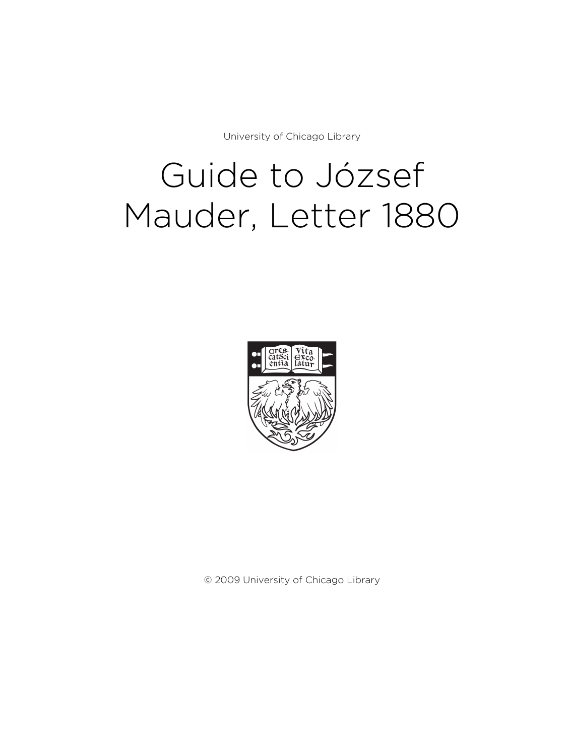University of Chicago Library

# Guide to József Mauder, Letter 1880



© 2009 University of Chicago Library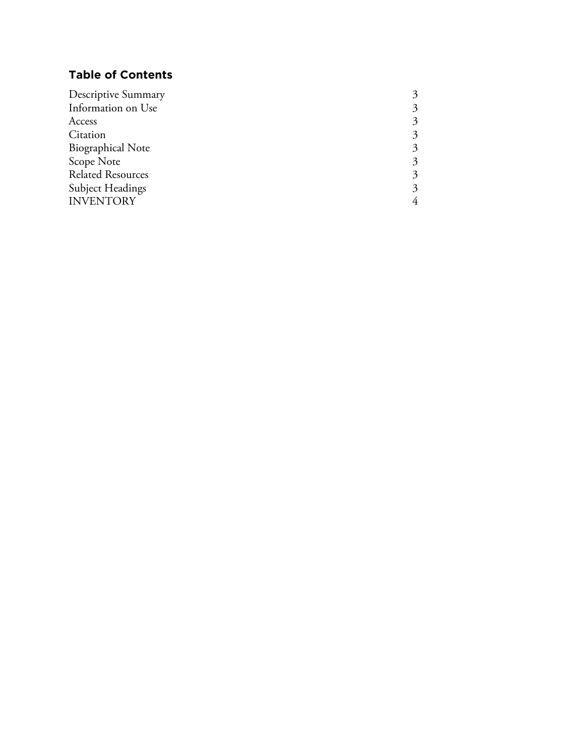# **Table of Contents**

| <b>Descriptive Summary</b> |                        |
|----------------------------|------------------------|
| Information on Use         | 3                      |
| Access                     | 3                      |
| Citation                   |                        |
| <b>Biographical Note</b>   | $\mathbf{\mathcal{Z}}$ |
| Scope Note                 | 3                      |
| <b>Related Resources</b>   | 3                      |
| <b>Subject Headings</b>    | 3                      |
| <b>INVENTORY</b>           |                        |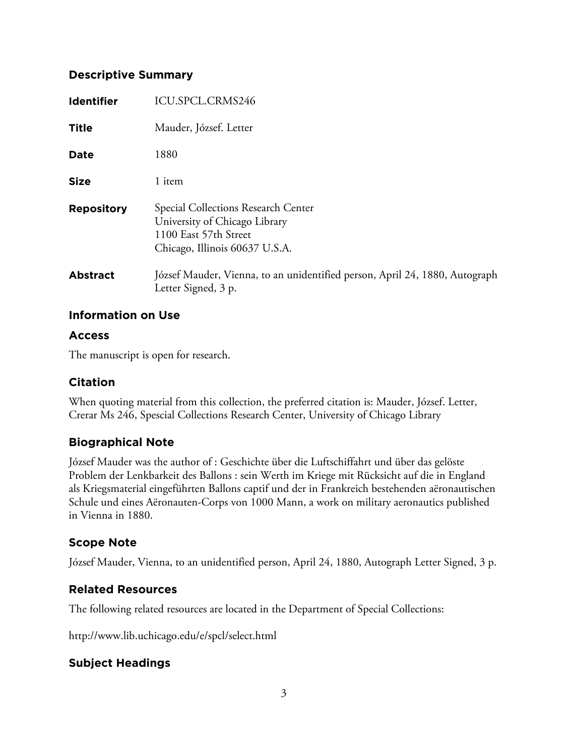#### **Descriptive Summary**

| <b>Identifier</b> | ICU.SPCL.CRMS246                                                                                                                |
|-------------------|---------------------------------------------------------------------------------------------------------------------------------|
| <b>Title</b>      | Mauder, József. Letter                                                                                                          |
| <b>Date</b>       | 1880                                                                                                                            |
| <b>Size</b>       | 1 item                                                                                                                          |
| <b>Repository</b> | Special Collections Research Center<br>University of Chicago Library<br>1100 East 57th Street<br>Chicago, Illinois 60637 U.S.A. |
| <b>Abstract</b>   | József Mauder, Vienna, to an unidentified person, April 24, 1880, Autograph<br>Letter Signed, 3 p.                              |

#### **Information on Use**

#### **Access**

The manuscript is open for research.

## **Citation**

When quoting material from this collection, the preferred citation is: Mauder, József. Letter, Crerar Ms 246, Spescial Collections Research Center, University of Chicago Library

## **Biographical Note**

József Mauder was the author of : Geschichte über die Luftschiffahrt und über das gelöste Problem der Lenkbarkeit des Ballons : sein Werth im Kriege mit Rücksicht auf die in England als Kriegsmaterial eingeführten Ballons captif und der in Frankreich bestehenden aëronautischen Schule und eines Aëronauten-Corps von 1000 Mann, a work on military aeronautics published in Vienna in 1880.

# **Scope Note**

József Mauder, Vienna, to an unidentified person, April 24, 1880, Autograph Letter Signed, 3 p.

## **Related Resources**

The following related resources are located in the Department of Special Collections:

http://www.lib.uchicago.edu/e/spcl/select.html

## **Subject Headings**